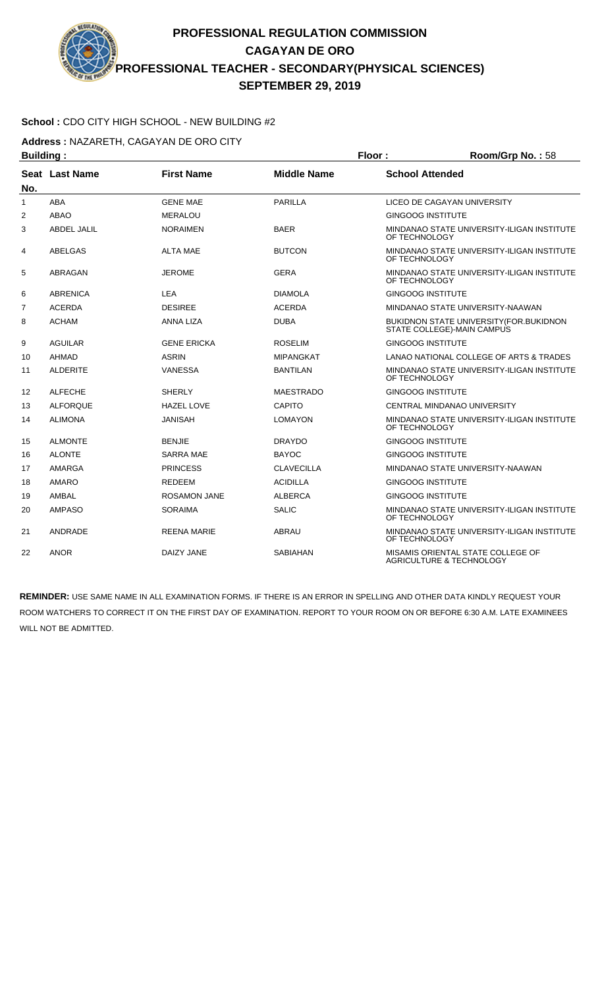## **School :** CDO CITY HIGH SCHOOL - NEW BUILDING #2

**Address :** NAZARETH, CAGAYAN DE ORO CITY

| <b>Building:</b> |                 |                     |                    | Floor:<br>Room/Grp No.: 58 |                                                                        |  |
|------------------|-----------------|---------------------|--------------------|----------------------------|------------------------------------------------------------------------|--|
| No.              | Seat Last Name  | <b>First Name</b>   | <b>Middle Name</b> | <b>School Attended</b>     |                                                                        |  |
| 1                | <b>ABA</b>      | <b>GENE MAE</b>     | <b>PARILLA</b>     |                            | LICEO DE CAGAYAN UNIVERSITY                                            |  |
| 2                | ABAO            | <b>MERALOU</b>      |                    | <b>GINGOOG INSTITUTE</b>   |                                                                        |  |
| 3                | ABDEL JALIL     | <b>NORAIMEN</b>     | <b>BAER</b>        | OF TECHNOLOGY              | MINDANAO STATE UNIVERSITY-ILIGAN INSTITUTE                             |  |
| 4                | ABELGAS         | <b>ALTA MAE</b>     | <b>BUTCON</b>      | OF TECHNOLOGY              | MINDANAO STATE UNIVERSITY-ILIGAN INSTITUTE                             |  |
| 5                | ABRAGAN         | <b>JEROME</b>       | <b>GERA</b>        | OF TECHNOLOGY              | MINDANAO STATE UNIVERSITY-ILIGAN INSTITUTE                             |  |
| 6                | <b>ABRENICA</b> | LEA                 | <b>DIAMOLA</b>     | <b>GINGOOG INSTITUTE</b>   |                                                                        |  |
| $\overline{7}$   | <b>ACERDA</b>   | <b>DESIREE</b>      | <b>ACERDA</b>      |                            | MINDANAO STATE UNIVERSITY-NAAWAN                                       |  |
| 8                | <b>ACHAM</b>    | <b>ANNA LIZA</b>    | <b>DUBA</b>        |                            | BUKIDNON STATE UNIVERSITY (FOR. BUKIDNON<br>STATE COLLEGE)-MAIN CAMPUS |  |
| 9                | <b>AGUILAR</b>  | <b>GENE ERICKA</b>  | <b>ROSELIM</b>     | <b>GINGOOG INSTITUTE</b>   |                                                                        |  |
| 10               | <b>AHMAD</b>    | <b>ASRIN</b>        | <b>MIPANGKAT</b>   |                            | LANAO NATIONAL COLLEGE OF ARTS & TRADES                                |  |
| 11               | <b>ALDERITE</b> | <b>VANESSA</b>      | <b>BANTILAN</b>    | OF TECHNOLOGY              | MINDANAO STATE UNIVERSITY-ILIGAN INSTITUTE                             |  |
| 12               | <b>ALFECHE</b>  | <b>SHERLY</b>       | <b>MAESTRADO</b>   | <b>GINGOOG INSTITUTE</b>   |                                                                        |  |
| 13               | <b>ALFORQUE</b> | <b>HAZEL LOVE</b>   | <b>CAPITO</b>      |                            | CENTRAL MINDANAO UNIVERSITY                                            |  |
| 14               | <b>ALIMONA</b>  | JANISAH             | <b>LOMAYON</b>     | OF TECHNOLOGY              | MINDANAO STATE UNIVERSITY-ILIGAN INSTITUTE                             |  |
| 15               | <b>ALMONTE</b>  | <b>BENJIE</b>       | <b>DRAYDO</b>      | <b>GINGOOG INSTITUTE</b>   |                                                                        |  |
| 16               | <b>ALONTE</b>   | SARRA MAE           | <b>BAYOC</b>       | <b>GINGOOG INSTITUTE</b>   |                                                                        |  |
| 17               | AMARGA          | <b>PRINCESS</b>     | <b>CLAVECILLA</b>  |                            | MINDANAO STATE UNIVERSITY-NAAWAN                                       |  |
| 18               | AMARO           | <b>REDEEM</b>       | <b>ACIDILLA</b>    | <b>GINGOOG INSTITUTE</b>   |                                                                        |  |
| 19               | AMBAL           | <b>ROSAMON JANE</b> | <b>ALBERCA</b>     | <b>GINGOOG INSTITUTE</b>   |                                                                        |  |
| 20               | <b>AMPASO</b>   | <b>SORAIMA</b>      | <b>SALIC</b>       | OF TECHNOLOGY              | MINDANAO STATE UNIVERSITY-ILIGAN INSTITUTE                             |  |
| 21               | <b>ANDRADE</b>  | <b>REENA MARIE</b>  | ABRAU              | OF TECHNOLOGY              | MINDANAO STATE UNIVERSITY-ILIGAN INSTITUTE                             |  |
| 22               | <b>ANOR</b>     | DAIZY JANE          | SABIAHAN           |                            | MISAMIS ORIENTAL STATE COLLEGE OF<br>AGRICULTURE & TECHNOLOGY          |  |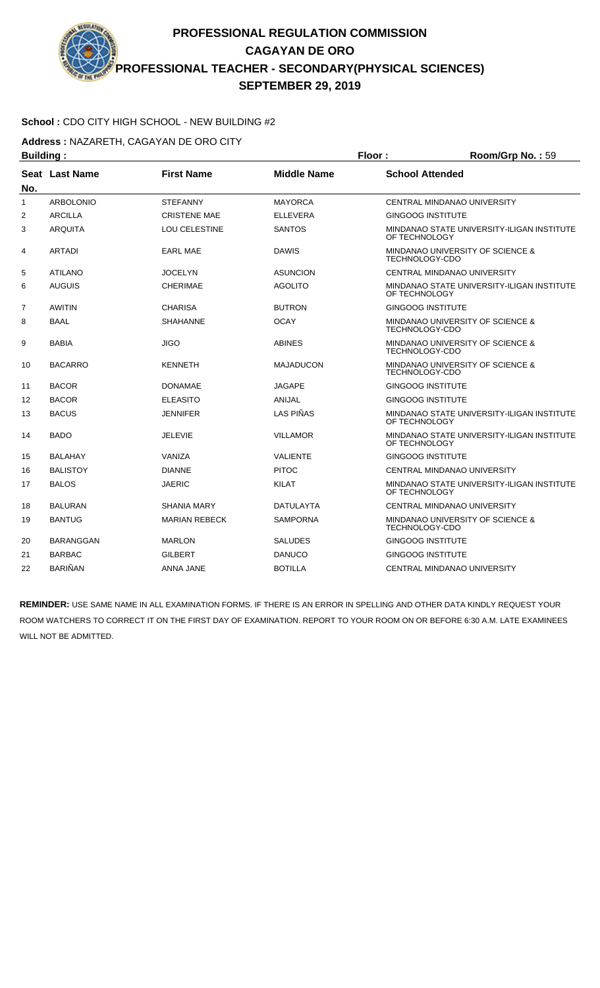

**Address :** NAZARETH, CAGAYAN DE ORO CITY

| <b>Building:</b> |                       |                      | Floor:             | Room/Grp No.: 59                                                     |                                            |
|------------------|-----------------------|----------------------|--------------------|----------------------------------------------------------------------|--------------------------------------------|
| No.              | <b>Seat Last Name</b> | <b>First Name</b>    | <b>Middle Name</b> | <b>School Attended</b>                                               |                                            |
| 1                | <b>ARBOLONIO</b>      | <b>STEFANNY</b>      | <b>MAYORCA</b>     |                                                                      | CENTRAL MINDANAO UNIVERSITY                |
| 2                | <b>ARCILLA</b>        | <b>CRISTENE MAE</b>  | <b>ELLEVERA</b>    | <b>GINGOOG INSTITUTE</b>                                             |                                            |
| 3                | <b>ARQUITA</b>        | <b>LOU CELESTINE</b> | <b>SANTOS</b>      | OF TECHNOLOGY                                                        | MINDANAO STATE UNIVERSITY-ILIGAN INSTITUTE |
| 4                | <b>ARTADI</b>         | <b>EARL MAE</b>      | <b>DAWIS</b>       | TECHNOLOGY-CDO                                                       | MINDANAO UNIVERSITY OF SCIENCE &           |
| 5                | <b>ATILANO</b>        | <b>JOCELYN</b>       | <b>ASUNCION</b>    |                                                                      | CENTRAL MINDANAO UNIVERSITY                |
| 6                | <b>AUGUIS</b>         | <b>CHERIMAE</b>      | <b>AGOLITO</b>     | OF TECHNOLOGY                                                        | MINDANAO STATE UNIVERSITY-ILIGAN INSTITUTE |
| 7                | AWITIN                | <b>CHARISA</b>       | <b>BUTRON</b>      | <b>GINGOOG INSTITUTE</b>                                             |                                            |
| 8                | <b>BAAL</b>           | <b>SHAHANNE</b>      | <b>OCAY</b>        | <b>MINDANAO UNIVERSITY OF SCIENCE &amp;</b><br>TECHNOLOGY-CDO        |                                            |
| 9                | <b>BABIA</b>          | <b>JIGO</b>          | <b>ABINES</b>      | <b>MINDANAO UNIVERSITY OF SCIENCE &amp;</b><br><b>TECHNOLOGY-CDO</b> |                                            |
| 10               | <b>BACARRO</b>        | <b>KENNETH</b>       | <b>MAJADUCON</b>   | TECHNOLOGY-CDO                                                       | MINDANAO UNIVERSITY OF SCIENCE &           |
| 11               | <b>BACOR</b>          | <b>DONAMAE</b>       | <b>JAGAPE</b>      | <b>GINGOOG INSTITUTE</b>                                             |                                            |
| 12               | <b>BACOR</b>          | <b>ELEASITO</b>      | <b>ANIJAL</b>      | <b>GINGOOG INSTITUTE</b>                                             |                                            |
| 13               | <b>BACUS</b>          | <b>JENNIFER</b>      | <b>LAS PIÑAS</b>   | OF TECHNOLOGY                                                        | MINDANAO STATE UNIVERSITY-ILIGAN INSTITUTE |
| 14               | <b>BADO</b>           | <b>JELEVIE</b>       | <b>VILLAMOR</b>    | OF TECHNOLOGY                                                        | MINDANAO STATE UNIVERSITY-ILIGAN INSTITUTE |
| 15               | <b>BALAHAY</b>        | VANIZA               | <b>VALIENTE</b>    | <b>GINGOOG INSTITUTE</b>                                             |                                            |
| 16               | <b>BALISTOY</b>       | <b>DIANNE</b>        | <b>PITOC</b>       |                                                                      | CENTRAL MINDANAO UNIVERSITY                |
| 17               | <b>BALOS</b>          | <b>JAERIC</b>        | <b>KILAT</b>       | OF TECHNOLOGY                                                        | MINDANAO STATE UNIVERSITY-ILIGAN INSTITUTE |
| 18               | <b>BALURAN</b>        | <b>SHANIA MARY</b>   | <b>DATULAYTA</b>   |                                                                      | CENTRAL MINDANAO UNIVERSITY                |
| 19               | <b>BANTUG</b>         | <b>MARIAN REBECK</b> | <b>SAMPORNA</b>    | TECHNOLOGY-CDO                                                       | MINDANAO UNIVERSITY OF SCIENCE &           |
| 20               | <b>BARANGGAN</b>      | <b>MARLON</b>        | <b>SALUDES</b>     | <b>GINGOOG INSTITUTE</b>                                             |                                            |
| 21               | <b>BARBAC</b>         | <b>GILBERT</b>       | <b>DANUCO</b>      | <b>GINGOOG INSTITUTE</b>                                             |                                            |
| 22               | <b>BARIÑAN</b>        | <b>ANNA JANE</b>     | <b>BOTILLA</b>     |                                                                      | CENTRAL MINDANAO UNIVERSITY                |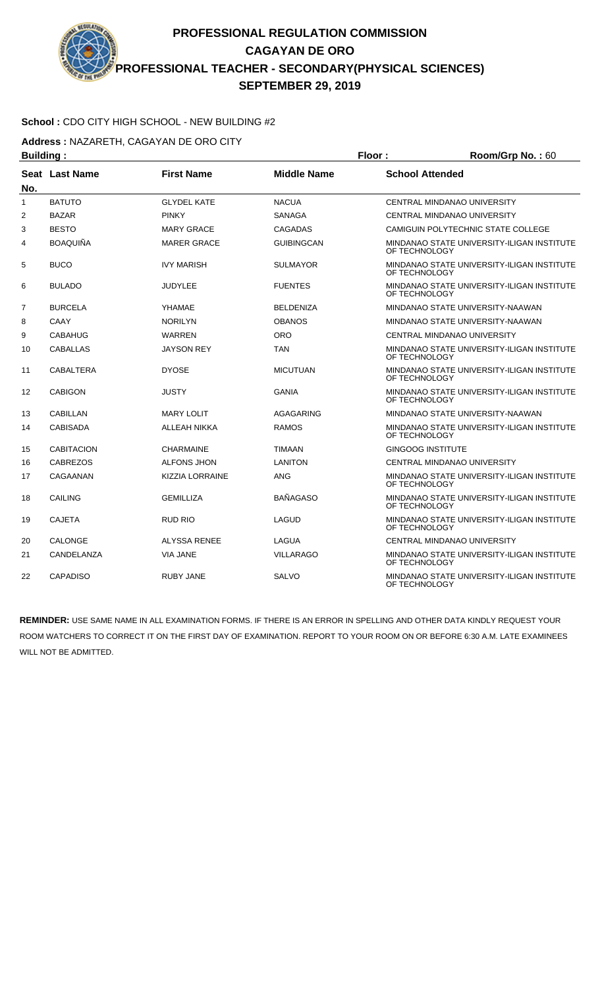### **School :** CDO CITY HIGH SCHOOL - NEW BUILDING #2

**Address :** NAZARETH, CAGAYAN DE ORO CITY

| <b>Building:</b> |                       |                        |                    | Floor:                                                      | Room/Grp No.: 60                           |  |
|------------------|-----------------------|------------------------|--------------------|-------------------------------------------------------------|--------------------------------------------|--|
| No.              | <b>Seat Last Name</b> | <b>First Name</b>      | <b>Middle Name</b> | <b>School Attended</b>                                      |                                            |  |
| $\mathbf{1}$     | <b>BATUTO</b>         | <b>GLYDEL KATE</b>     | <b>NACUA</b>       |                                                             | <b>CENTRAL MINDANAO UNIVERSITY</b>         |  |
| 2                | <b>BAZAR</b>          | <b>PINKY</b>           | <b>SANAGA</b>      |                                                             | CENTRAL MINDANAO UNIVERSITY                |  |
| 3                | <b>BESTO</b>          | <b>MARY GRACE</b>      | <b>CAGADAS</b>     |                                                             | CAMIGUIN POLYTECHNIC STATE COLLEGE         |  |
| 4                | <b>BOAQUIÑA</b>       | <b>MARER GRACE</b>     | <b>GUIBINGCAN</b>  | OF TECHNOLOGY                                               | MINDANAO STATE UNIVERSITY-ILIGAN INSTITUTE |  |
| 5                | <b>BUCO</b>           | <b>IVY MARISH</b>      | <b>SULMAYOR</b>    | OF TECHNOLOGY                                               | MINDANAO STATE UNIVERSITY-ILIGAN INSTITUTE |  |
| 6                | <b>BULADO</b>         | JUDYLEE                | <b>FUENTES</b>     | OF TECHNOLOGY                                               | MINDANAO STATE UNIVERSITY-ILIGAN INSTITUTE |  |
| $\overline{7}$   | <b>BURCELA</b>        | YHAMAE                 | <b>BELDENIZA</b>   |                                                             | MINDANAO STATE UNIVERSITY-NAAWAN           |  |
| 8                | CAAY                  | <b>NORILYN</b>         | <b>OBANOS</b>      |                                                             | MINDANAO STATE UNIVERSITY-NAAWAN           |  |
| 9                | <b>CABAHUG</b>        | <b>WARREN</b>          | <b>ORO</b>         |                                                             | CENTRAL MINDANAO UNIVERSITY                |  |
| 10               | <b>CABALLAS</b>       | JAYSON REY             | <b>TAN</b>         | MINDANAO STATE UNIVERSITY-ILIGAN INSTITUTE<br>OF TECHNOLOGY |                                            |  |
| 11               | CABALTERA             | <b>DYOSE</b>           | <b>MICUTUAN</b>    | OF TECHNOLOGY                                               | MINDANAO STATE UNIVERSITY-ILIGAN INSTITUTE |  |
| 12               | <b>CABIGON</b>        | <b>JUSTY</b>           | <b>GANIA</b>       | OF TECHNOLOGY                                               | MINDANAO STATE UNIVERSITY-ILIGAN INSTITUTE |  |
| 13               | <b>CABILLAN</b>       | <b>MARY LOLIT</b>      | <b>AGAGARING</b>   |                                                             | MINDANAO STATE UNIVERSITY-NAAWAN           |  |
| 14               | <b>CABISADA</b>       | ALLEAH NIKKA           | <b>RAMOS</b>       | OF TECHNOLOGY                                               | MINDANAO STATE UNIVERSITY-ILIGAN INSTITUTE |  |
| 15               | <b>CABITACION</b>     | <b>CHARMAINE</b>       | <b>TIMAAN</b>      | <b>GINGOOG INSTITUTE</b>                                    |                                            |  |
| 16               | <b>CABREZOS</b>       | <b>ALFONS JHON</b>     | <b>LANITON</b>     |                                                             | CENTRAL MINDANAO UNIVERSITY                |  |
| 17               | CAGAANAN              | <b>KIZZIA LORRAINE</b> | <b>ANG</b>         | OF TECHNOLOGY                                               | MINDANAO STATE UNIVERSITY-ILIGAN INSTITUTE |  |
| 18               | <b>CAILING</b>        | <b>GEMILLIZA</b>       | <b>BAÑAGASO</b>    | OF TECHNOLOGY                                               | MINDANAO STATE UNIVERSITY-ILIGAN INSTITUTE |  |
| 19               | <b>CAJETA</b>         | RUD RIO                | LAGUD              | OF TECHNOLOGY                                               | MINDANAO STATE UNIVERSITY-ILIGAN INSTITUTE |  |
| 20               | <b>CALONGE</b>        | ALYSSA RENEE           | <b>LAGUA</b>       |                                                             | <b>CENTRAL MINDANAO UNIVERSITY</b>         |  |
| 21               | CANDELANZA            | <b>VIA JANE</b>        | <b>VILLARAGO</b>   | OF TECHNOLOGY                                               | MINDANAO STATE UNIVERSITY-ILIGAN INSTITUTE |  |
| 22               | <b>CAPADISO</b>       | <b>RUBY JANE</b>       | <b>SALVO</b>       | OF TECHNOLOGY                                               | MINDANAO STATE UNIVERSITY-ILIGAN INSTITUTE |  |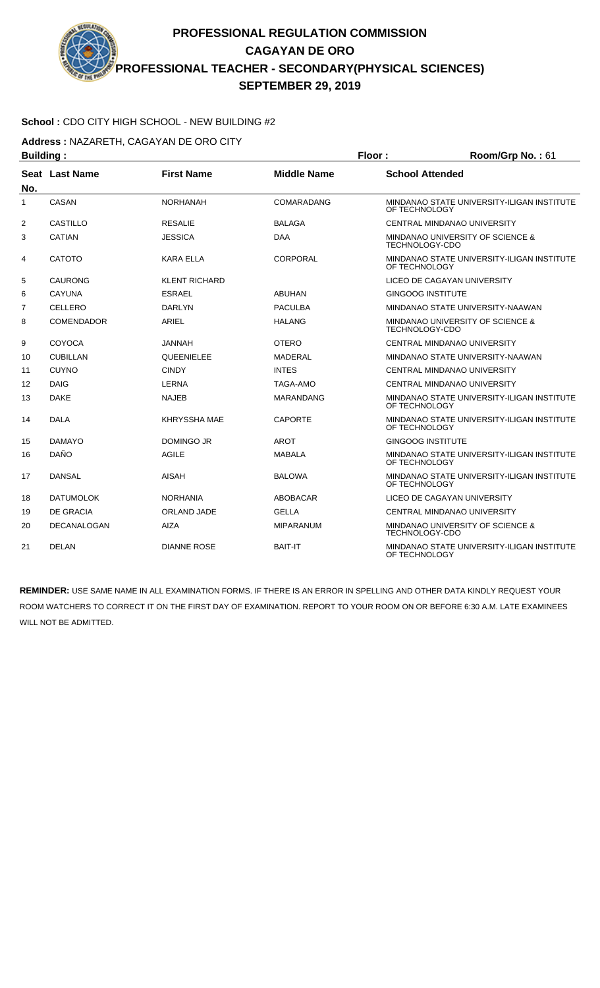## **School :** CDO CITY HIGH SCHOOL - NEW BUILDING #2

**Address :** NAZARETH, CAGAYAN DE ORO CITY

| <b>Building:</b> |                    |                      |                    | Floor:                                             | Room/Grp No.: 61                           |  |
|------------------|--------------------|----------------------|--------------------|----------------------------------------------------|--------------------------------------------|--|
| No.              | Seat Last Name     | <b>First Name</b>    | <b>Middle Name</b> | <b>School Attended</b>                             |                                            |  |
| $\mathbf{1}$     | CASAN              | <b>NORHANAH</b>      | <b>COMARADANG</b>  | OF TECHNOLOGY                                      | MINDANAO STATE UNIVERSITY-ILIGAN INSTITUTE |  |
| 2                | <b>CASTILLO</b>    | <b>RESALIE</b>       | <b>BALAGA</b>      |                                                    | CENTRAL MINDANAO UNIVERSITY                |  |
| 3                | <b>CATIAN</b>      | <b>JESSICA</b>       | <b>DAA</b>         | TECHNOLOGY-CDO                                     | MINDANAO UNIVERSITY OF SCIENCE &           |  |
| 4                | <b>CATOTO</b>      | <b>KARA ELLA</b>     | <b>CORPORAL</b>    | OF TECHNOLOGY                                      | MINDANAO STATE UNIVERSITY-ILIGAN INSTITUTE |  |
| 5                | <b>CAURONG</b>     | <b>KLENT RICHARD</b> |                    |                                                    | LICEO DE CAGAYAN UNIVERSITY                |  |
| 6                | <b>CAYUNA</b>      | <b>ESRAEL</b>        | <b>ABUHAN</b>      | <b>GINGOOG INSTITUTE</b>                           |                                            |  |
| 7                | <b>CELLERO</b>     | <b>DARLYN</b>        | <b>PACULBA</b>     |                                                    | MINDANAO STATE UNIVERSITY-NAAWAN           |  |
| 8                | <b>COMENDADOR</b>  | ARIEL                | <b>HALANG</b>      | MINDANAO UNIVERSITY OF SCIENCE &<br>TECHNOLOGY-CDO |                                            |  |
| 9                | COYOCA             | JANNAH               | <b>OTERO</b>       |                                                    | CENTRAL MINDANAO UNIVERSITY                |  |
| 10               | <b>CUBILLAN</b>    | <b>QUEENIELEE</b>    | <b>MADERAL</b>     |                                                    | MINDANAO STATE UNIVERSITY-NAAWAN           |  |
| 11               | <b>CUYNO</b>       | <b>CINDY</b>         | <b>INTES</b>       |                                                    | CENTRAL MINDANAO UNIVERSITY                |  |
| 12               | <b>DAIG</b>        | <b>LERNA</b>         | <b>TAGA-AMO</b>    |                                                    | CENTRAL MINDANAO UNIVERSITY                |  |
| 13               | <b>DAKE</b>        | <b>NAJEB</b>         | <b>MARANDANG</b>   | OF TECHNOLOGY                                      | MINDANAO STATE UNIVERSITY-ILIGAN INSTITUTE |  |
| 14               | <b>DALA</b>        | <b>KHRYSSHA MAE</b>  | <b>CAPORTE</b>     | OF TECHNOLOGY                                      | MINDANAO STATE UNIVERSITY-ILIGAN INSTITUTE |  |
| 15               | <b>DAMAYO</b>      | <b>DOMINGO JR</b>    | <b>AROT</b>        | <b>GINGOOG INSTITUTE</b>                           |                                            |  |
| 16               | <b>DAÑO</b>        | <b>AGILE</b>         | <b>MABALA</b>      | OF TECHNOLOGY                                      | MINDANAO STATE UNIVERSITY-ILIGAN INSTITUTE |  |
| 17               | <b>DANSAL</b>      | <b>AISAH</b>         | <b>BALOWA</b>      | OF TECHNOLOGY                                      | MINDANAO STATE UNIVERSITY-ILIGAN INSTITUTE |  |
| 18               | <b>DATUMOLOK</b>   | <b>NORHANIA</b>      | <b>ABOBACAR</b>    |                                                    | LICEO DE CAGAYAN UNIVERSITY                |  |
| 19               | <b>DE GRACIA</b>   | <b>ORLAND JADE</b>   | <b>GELLA</b>       |                                                    | CENTRAL MINDANAO UNIVERSITY                |  |
| 20               | <b>DECANALOGAN</b> | <b>AIZA</b>          | <b>MIPARANUM</b>   | <b>TECHNOLOGY-CDO</b>                              | MINDANAO UNIVERSITY OF SCIENCE &           |  |
| 21               | <b>DELAN</b>       | <b>DIANNE ROSE</b>   | <b>BAIT-IT</b>     | OF TECHNOLOGY                                      | MINDANAO STATE UNIVERSITY-ILIGAN INSTITUTE |  |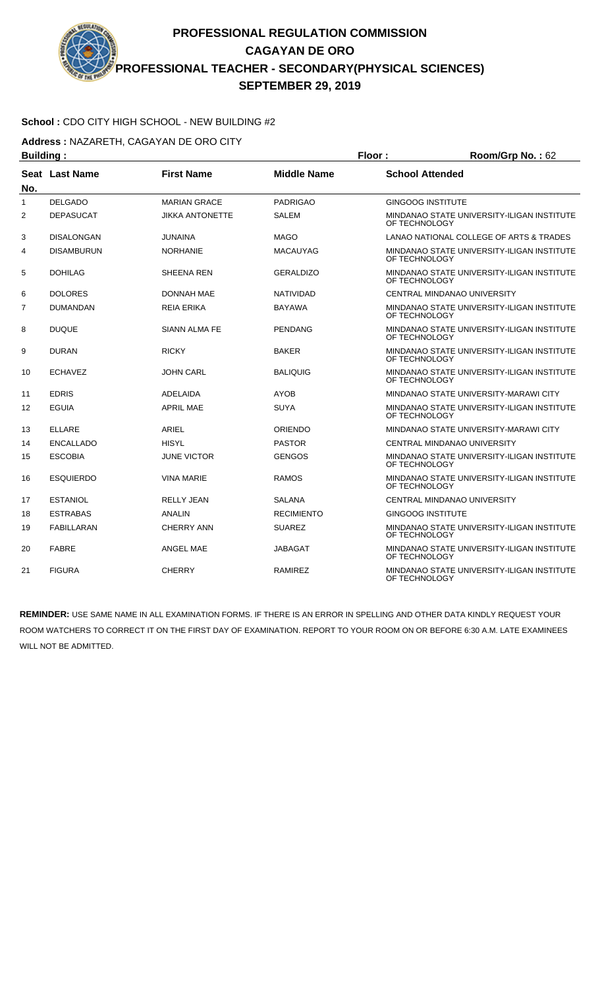## **School :** CDO CITY HIGH SCHOOL - NEW BUILDING #2

**Address :** NAZARETH, CAGAYAN DE ORO CITY

| <b>Building:</b><br>Floor: |                       |                        |                    | Room/Grp No.: 62         |                                            |
|----------------------------|-----------------------|------------------------|--------------------|--------------------------|--------------------------------------------|
| No.                        | <b>Seat Last Name</b> | <b>First Name</b>      | <b>Middle Name</b> | <b>School Attended</b>   |                                            |
| $\mathbf{1}$               | <b>DELGADO</b>        | <b>MARIAN GRACE</b>    | <b>PADRIGAO</b>    | <b>GINGOOG INSTITUTE</b> |                                            |
| $\overline{2}$             | <b>DEPASUCAT</b>      | <b>JIKKA ANTONETTE</b> | <b>SALEM</b>       | OF TECHNOLOGY            | MINDANAO STATE UNIVERSITY-ILIGAN INSTITUTE |
| 3                          | <b>DISALONGAN</b>     | <b>JUNAINA</b>         | <b>MAGO</b>        |                          | LANAO NATIONAL COLLEGE OF ARTS & TRADES    |
| 4                          | <b>DISAMBURUN</b>     | <b>NORHANIE</b>        | <b>MACAUYAG</b>    | OF TECHNOLOGY            | MINDANAO STATE UNIVERSITY-ILIGAN INSTITUTE |
| 5                          | <b>DOHILAG</b>        | SHEENA REN             | <b>GERALDIZO</b>   | OF TECHNOLOGY            | MINDANAO STATE UNIVERSITY-ILIGAN INSTITUTE |
| 6                          | <b>DOLORES</b>        | <b>DONNAH MAE</b>      | <b>NATIVIDAD</b>   |                          | <b>CENTRAL MINDANAO UNIVERSITY</b>         |
| $\overline{7}$             | <b>DUMANDAN</b>       | REIA ERIKA             | <b>BAYAWA</b>      | OF TECHNOLOGY            | MINDANAO STATE UNIVERSITY-ILIGAN INSTITUTE |
| 8                          | <b>DUQUE</b>          | <b>SIANN ALMA FE</b>   | <b>PENDANG</b>     | OF TECHNOLOGY            | MINDANAO STATE UNIVERSITY-ILIGAN INSTITUTE |
| 9                          | <b>DURAN</b>          | <b>RICKY</b>           | <b>BAKER</b>       | OF TECHNOLOGY            | MINDANAO STATE UNIVERSITY-ILIGAN INSTITUTE |
| 10                         | <b>ECHAVEZ</b>        | <b>JOHN CARL</b>       | <b>BALIQUIG</b>    | OF TECHNOLOGY            | MINDANAO STATE UNIVERSITY-ILIGAN INSTITUTE |
| 11                         | <b>EDRIS</b>          | <b>ADELAIDA</b>        | <b>AYOB</b>        |                          | MINDANAO STATE UNIVERSITY-MARAWI CITY      |
| 12                         | <b>EGUIA</b>          | <b>APRIL MAE</b>       | <b>SUYA</b>        | OF TECHNOLOGY            | MINDANAO STATE UNIVERSITY-ILIGAN INSTITUTE |
| 13                         | <b>ELLARE</b>         | <b>ARIEL</b>           | <b>ORIENDO</b>     |                          | MINDANAO STATE UNIVERSITY-MARAWI CITY      |
| 14                         | <b>ENCALLADO</b>      | <b>HISYL</b>           | <b>PASTOR</b>      |                          | CENTRAL MINDANAO UNIVERSITY                |
| 15                         | <b>ESCOBIA</b>        | <b>JUNE VICTOR</b>     | <b>GENGOS</b>      | OF TECHNOLOGY            | MINDANAO STATE UNIVERSITY-ILIGAN INSTITUTE |
| 16                         | <b>ESQUIERDO</b>      | <b>VINA MARIE</b>      | <b>RAMOS</b>       | OF TECHNOLOGY            | MINDANAO STATE UNIVERSITY-ILIGAN INSTITUTE |
| 17                         | <b>ESTANIOL</b>       | <b>RELLY JEAN</b>      | <b>SALANA</b>      |                          | CENTRAL MINDANAO UNIVERSITY                |
| 18                         | <b>ESTRABAS</b>       | <b>ANALIN</b>          | <b>RECIMIENTO</b>  | <b>GINGOOG INSTITUTE</b> |                                            |
| 19                         | <b>FABILLARAN</b>     | <b>CHERRY ANN</b>      | <b>SUAREZ</b>      | OF TECHNOLOGY            | MINDANAO STATE UNIVERSITY-ILIGAN INSTITUTE |
| 20                         | <b>FABRE</b>          | <b>ANGEL MAE</b>       | <b>JABAGAT</b>     | OF TECHNOLOGY            | MINDANAO STATE UNIVERSITY-ILIGAN INSTITUTE |
| 21                         | <b>FIGURA</b>         | <b>CHERRY</b>          | <b>RAMIREZ</b>     | OF TECHNOLOGY            | MINDANAO STATE UNIVERSITY-ILIGAN INSTITUTE |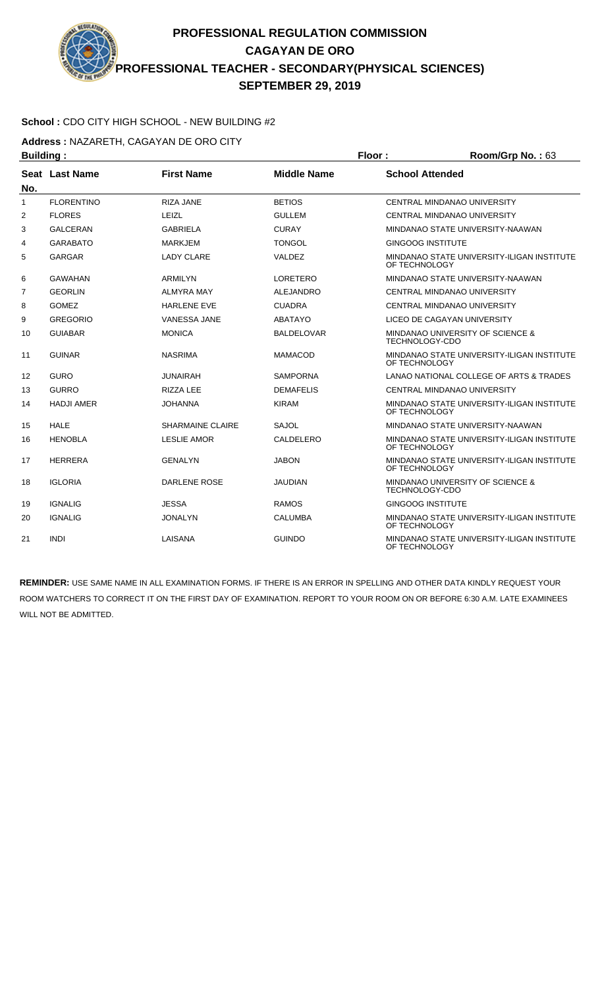

**Address :** NAZARETH, CAGAYAN DE ORO CITY

| <b>Building:</b> |                   |                         | Floor:             | Room/Grp No.: 63         |                                            |
|------------------|-------------------|-------------------------|--------------------|--------------------------|--------------------------------------------|
|                  | Seat Last Name    | <b>First Name</b>       | <b>Middle Name</b> | <b>School Attended</b>   |                                            |
| No.              |                   |                         |                    |                          |                                            |
| 1                | <b>FLORENTINO</b> | <b>RIZA JANE</b>        | <b>BETIOS</b>      |                          | CENTRAL MINDANAO UNIVERSITY                |
| 2                | <b>FLORES</b>     | LEIZL                   | GULLEM             |                          | CENTRAL MINDANAO UNIVERSITY                |
| 3                | <b>GALCERAN</b>   | <b>GABRIELA</b>         | <b>CURAY</b>       |                          | MINDANAO STATE UNIVERSITY-NAAWAN           |
| 4                | <b>GARABATO</b>   | <b>MARKJEM</b>          | <b>TONGOL</b>      | <b>GINGOOG INSTITUTE</b> |                                            |
| 5                | <b>GARGAR</b>     | <b>LADY CLARE</b>       | VALDEZ             | OF TECHNOLOGY            | MINDANAO STATE UNIVERSITY-ILIGAN INSTITUTE |
| 6                | GAWAHAN           | <b>ARMILYN</b>          | LORETERO           |                          | MINDANAO STATE UNIVERSITY-NAAWAN           |
| $\overline{7}$   | <b>GEORLIN</b>    | <b>ALMYRA MAY</b>       | ALEJANDRO          |                          | CENTRAL MINDANAO UNIVERSITY                |
| 8                | <b>GOMEZ</b>      | <b>HARLENE EVE</b>      | <b>CUADRA</b>      |                          | CENTRAL MINDANAO UNIVERSITY                |
| 9                | <b>GREGORIO</b>   | <b>VANESSA JANE</b>     | <b>ABATAYO</b>     |                          | LICEO DE CAGAYAN UNIVERSITY                |
| 10               | <b>GUIABAR</b>    | <b>MONICA</b>           | <b>BALDELOVAR</b>  | TECHNOLOGY-CDO           | MINDANAO UNIVERSITY OF SCIENCE &           |
| 11               | <b>GUINAR</b>     | <b>NASRIMA</b>          | <b>MAMACOD</b>     | OF TECHNOLOGY            | MINDANAO STATE UNIVERSITY-ILIGAN INSTITUTE |
| 12               | <b>GURO</b>       | <b>JUNAIRAH</b>         | <b>SAMPORNA</b>    |                          | LANAO NATIONAL COLLEGE OF ARTS & TRADES    |
| 13               | <b>GURRO</b>      | RIZZA LEE               | <b>DEMAFELIS</b>   |                          | CENTRAL MINDANAO UNIVERSITY                |
| 14               | <b>HADJI AMER</b> | <b>JOHANNA</b>          | <b>KIRAM</b>       | OF TECHNOLOGY            | MINDANAO STATE UNIVERSITY-ILIGAN INSTITUTE |
| 15               | <b>HALE</b>       | <b>SHARMAINE CLAIRE</b> | <b>SAJOL</b>       |                          | MINDANAO STATE UNIVERSITY-NAAWAN           |
| 16               | <b>HENOBLA</b>    | <b>LESLIE AMOR</b>      | CALDELERO          | OF TECHNOLOGY            | MINDANAO STATE UNIVERSITY-ILIGAN INSTITUTE |
| 17               | <b>HERRERA</b>    | <b>GENALYN</b>          | <b>JABON</b>       | OF TECHNOLOGY            | MINDANAO STATE UNIVERSITY-ILIGAN INSTITUTE |
| 18               | <b>IGLORIA</b>    | <b>DARLENE ROSE</b>     | <b>JAUDIAN</b>     | <b>TECHNOLOGY-CDO</b>    | MINDANAO UNIVERSITY OF SCIENCE &           |
| 19               | <b>IGNALIG</b>    | <b>JESSA</b>            | <b>RAMOS</b>       | <b>GINGOOG INSTITUTE</b> |                                            |
| 20               | <b>IGNALIG</b>    | <b>JONALYN</b>          | CALUMBA            | OF TECHNOLOGY            | MINDANAO STATE UNIVERSITY-ILIGAN INSTITUTE |
| 21               | <b>INDI</b>       | LAISANA                 | <b>GUINDO</b>      | OF TECHNOLOGY            | MINDANAO STATE UNIVERSITY-ILIGAN INSTITUTE |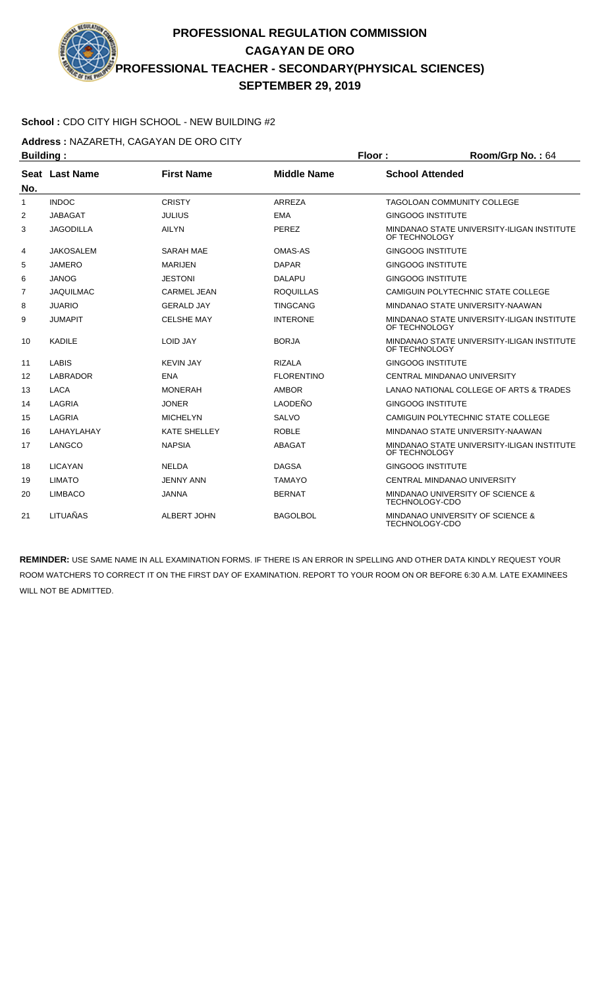## **School :** CDO CITY HIGH SCHOOL - NEW BUILDING #2

**Address :** NAZARETH, CAGAYAN DE ORO CITY

| <b>Building:</b>  |                  |                     | Floor:<br>Room/Grp No.: 64 |                                                             |                                            |
|-------------------|------------------|---------------------|----------------------------|-------------------------------------------------------------|--------------------------------------------|
|                   | Seat Last Name   | <b>First Name</b>   | <b>Middle Name</b>         | <b>School Attended</b>                                      |                                            |
| No.               |                  |                     |                            |                                                             |                                            |
| 1                 | <b>INDOC</b>     | <b>CRISTY</b>       | <b>ARREZA</b>              |                                                             | TAGOLOAN COMMUNITY COLLEGE                 |
| 2                 | <b>JABAGAT</b>   | <b>JULIUS</b>       | <b>EMA</b>                 | <b>GINGOOG INSTITUTE</b>                                    |                                            |
| 3                 | <b>JAGODILLA</b> | <b>AILYN</b>        | PEREZ                      | OF TECHNOLOGY                                               | MINDANAO STATE UNIVERSITY-ILIGAN INSTITUTE |
| 4                 | <b>JAKOSALEM</b> | <b>SARAH MAE</b>    | OMAS-AS                    | <b>GINGOOG INSTITUTE</b>                                    |                                            |
| 5                 | <b>JAMERO</b>    | <b>MARIJEN</b>      | <b>DAPAR</b>               | <b>GINGOOG INSTITUTE</b>                                    |                                            |
| 6                 | <b>JANOG</b>     | <b>JESTONI</b>      | <b>DALAPU</b>              | <b>GINGOOG INSTITUTE</b>                                    |                                            |
| 7                 | <b>JAQUILMAC</b> | <b>CARMEL JEAN</b>  | <b>ROQUILLAS</b>           |                                                             | CAMIGUIN POLYTECHNIC STATE COLLEGE         |
| 8                 | <b>JUARIO</b>    | <b>GERALD JAY</b>   | <b>TINGCANG</b>            |                                                             | MINDANAO STATE UNIVERSITY-NAAWAN           |
| 9                 | <b>JUMAPIT</b>   | <b>CELSHE MAY</b>   | <b>INTERONE</b>            | MINDANAO STATE UNIVERSITY-ILIGAN INSTITUTE<br>OF TECHNOLOGY |                                            |
| 10                | <b>KADILE</b>    | <b>LOID JAY</b>     | <b>BORJA</b>               | OF TECHNOLOGY                                               | MINDANAO STATE UNIVERSITY-ILIGAN INSTITUTE |
| 11                | <b>LABIS</b>     | <b>KEVIN JAY</b>    | <b>RIZALA</b>              | <b>GINGOOG INSTITUTE</b>                                    |                                            |
| $12 \overline{ }$ | <b>LABRADOR</b>  | <b>ENA</b>          | <b>FLORENTINO</b>          |                                                             | CENTRAL MINDANAO UNIVERSITY                |
| 13                | <b>LACA</b>      | <b>MONERAH</b>      | <b>AMBOR</b>               |                                                             | LANAO NATIONAL COLLEGE OF ARTS & TRADES    |
| 14                | LAGRIA           | <b>JONER</b>        | LAODEÑO                    | <b>GINGOOG INSTITUTE</b>                                    |                                            |
| 15                | LAGRIA           | <b>MICHELYN</b>     | <b>SALVO</b>               |                                                             | CAMIGUIN POLYTECHNIC STATE COLLEGE         |
| 16                | LAHAYLAHAY       | <b>KATE SHELLEY</b> | <b>ROBLE</b>               |                                                             | MINDANAO STATE UNIVERSITY-NAAWAN           |
| 17                | LANGCO           | <b>NAPSIA</b>       | <b>ABAGAT</b>              | OF TECHNOLOGY                                               | MINDANAO STATE UNIVERSITY-ILIGAN INSTITUTE |
| 18                | <b>LICAYAN</b>   | <b>NELDA</b>        | <b>DAGSA</b>               | <b>GINGOOG INSTITUTE</b>                                    |                                            |
| 19                | <b>LIMATO</b>    | <b>JENNY ANN</b>    | <b>TAMAYO</b>              |                                                             | CENTRAL MINDANAO UNIVERSITY                |
| 20                | <b>LIMBACO</b>   | <b>JANNA</b>        | <b>BERNAT</b>              | MINDANAO UNIVERSITY OF SCIENCE &<br>TECHNOLOGY-CDO          |                                            |
| 21                | LITUAÑAS         | <b>ALBERT JOHN</b>  | <b>BAGOLBOL</b>            | <b>TECHNOLOGY-CDO</b>                                       | MINDANAO UNIVERSITY OF SCIENCE &           |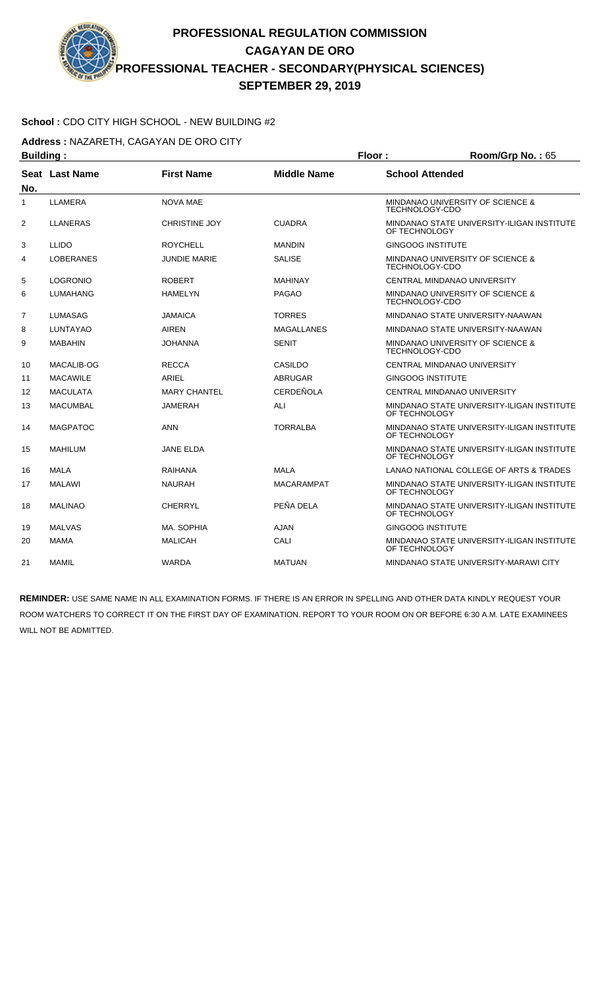## **School :** CDO CITY HIGH SCHOOL - NEW BUILDING #2

**Address :** NAZARETH, CAGAYAN DE ORO CITY

| <b>Building:</b> |                  |                      |                    | Floor:                                                      | Room/Grp No.: 65                            |  |
|------------------|------------------|----------------------|--------------------|-------------------------------------------------------------|---------------------------------------------|--|
| No.              | Seat Last Name   | <b>First Name</b>    | <b>Middle Name</b> | <b>School Attended</b>                                      |                                             |  |
| 1                | LLAMERA          | <b>NOVA MAE</b>      |                    | TECHNOLOGY-CDO                                              | <b>MINDANAO UNIVERSITY OF SCIENCE &amp;</b> |  |
| $\overline{2}$   | <b>LLANERAS</b>  | <b>CHRISTINE JOY</b> | <b>CUADRA</b>      | OF TECHNOLOGY                                               | MINDANAO STATE UNIVERSITY-ILIGAN INSTITUTE  |  |
| 3                | <b>LLIDO</b>     | <b>ROYCHELL</b>      | <b>MANDIN</b>      | <b>GINGOOG INSTITUTE</b>                                    |                                             |  |
| 4                | <b>LOBERANES</b> | <b>JUNDIE MARIE</b>  | <b>SALISE</b>      | TECHNOLOGY-CDO                                              | MINDANAO UNIVERSITY OF SCIENCE &            |  |
| 5                | <b>LOGRONIO</b>  | <b>ROBERT</b>        | <b>MAHINAY</b>     |                                                             | CENTRAL MINDANAO UNIVERSITY                 |  |
| 6                | <b>LUMAHANG</b>  | <b>HAMELYN</b>       | <b>PAGAO</b>       | TECHNOLOGY-CDO                                              | MINDANAO UNIVERSITY OF SCIENCE &            |  |
| $\overline{7}$   | <b>LUMASAG</b>   | <b>JAMAICA</b>       | <b>TORRES</b>      |                                                             | MINDANAO STATE UNIVERSITY-NAAWAN            |  |
| 8                | <b>LUNTAYAO</b>  | <b>AIREN</b>         | <b>MAGALLANES</b>  |                                                             | MINDANAO STATE UNIVERSITY-NAAWAN            |  |
| 9                | <b>MABAHIN</b>   | <b>JOHANNA</b>       | <b>SENIT</b>       | <b>TECHNOLOGY-CDO</b>                                       | MINDANAO UNIVERSITY OF SCIENCE &            |  |
| 10               | MACALIB-OG       | <b>RECCA</b>         | CASILDO            |                                                             | CENTRAL MINDANAO UNIVERSITY                 |  |
| 11               | <b>MACAWILE</b>  | ARIEL                | <b>ABRUGAR</b>     | <b>GINGOOG INSTITUTE</b>                                    |                                             |  |
| 12               | <b>MACULATA</b>  | <b>MARY CHANTEL</b>  | <b>CERDEÑOLA</b>   |                                                             | CENTRAL MINDANAO UNIVERSITY                 |  |
| 13               | <b>MACUMBAL</b>  | <b>JAMERAH</b>       | ALI                | OF TECHNOLOGY                                               | MINDANAO STATE UNIVERSITY-ILIGAN INSTITUTE  |  |
| 14               | <b>MAGPATOC</b>  | <b>ANN</b>           | <b>TORRALBA</b>    | OF TECHNOLOGY                                               | MINDANAO STATE UNIVERSITY-ILIGAN INSTITUTE  |  |
| 15               | <b>MAHILUM</b>   | <b>JANE ELDA</b>     |                    | OF TECHNOLOGY                                               | MINDANAO STATE UNIVERSITY-ILIGAN INSTITUTE  |  |
| 16               | <b>MALA</b>      | RAIHANA              | <b>MALA</b>        |                                                             | LANAO NATIONAL COLLEGE OF ARTS & TRADES     |  |
| 17               | <b>MALAWI</b>    | <b>NAURAH</b>        | <b>MACARAMPAT</b>  | OF TECHNOLOGY                                               | MINDANAO STATE UNIVERSITY-ILIGAN INSTITUTE  |  |
| 18               | <b>MALINAO</b>   | <b>CHERRYL</b>       | PEÑA DELA          | OF TECHNOLOGY                                               | MINDANAO STATE UNIVERSITY-ILIGAN INSTITUTE  |  |
| 19               | <b>MALVAS</b>    | MA. SOPHIA           | <b>AJAN</b>        | <b>GINGOOG INSTITUTE</b>                                    |                                             |  |
| 20               | <b>MAMA</b>      | <b>MALICAH</b>       | CALI               | MINDANAO STATE UNIVERSITY-ILIGAN INSTITUTE<br>OF TECHNOLOGY |                                             |  |
| 21               | <b>MAMIL</b>     | <b>WARDA</b>         | <b>MATUAN</b>      |                                                             | MINDANAO STATE UNIVERSITY-MARAWI CITY       |  |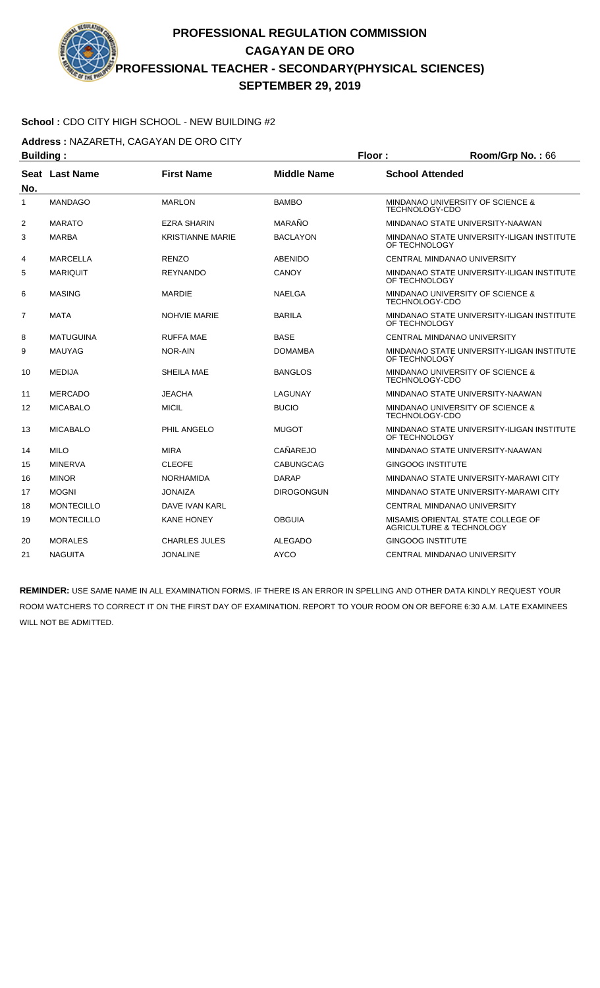## **School :** CDO CITY HIGH SCHOOL - NEW BUILDING #2

**Address :** NAZARETH, CAGAYAN DE ORO CITY

| <b>Building:</b> |                       |                         |                    | Floor:                   | Room/Grp No.: 66                                                         |  |
|------------------|-----------------------|-------------------------|--------------------|--------------------------|--------------------------------------------------------------------------|--|
| No.              | <b>Seat Last Name</b> | <b>First Name</b>       | <b>Middle Name</b> | <b>School Attended</b>   |                                                                          |  |
| $\mathbf{1}$     | <b>MANDAGO</b>        | <b>MARLON</b>           | <b>BAMBO</b>       | <b>TECHNOLOGY-CDO</b>    | MINDANAO UNIVERSITY OF SCIENCE &                                         |  |
| $\overline{2}$   | <b>MARATO</b>         | <b>EZRA SHARIN</b>      | MARAÑO             |                          | MINDANAO STATE UNIVERSITY-NAAWAN                                         |  |
| 3                | <b>MARBA</b>          | <b>KRISTIANNE MARIE</b> | <b>BACLAYON</b>    | OF TECHNOLOGY            | MINDANAO STATE UNIVERSITY-ILIGAN INSTITUTE                               |  |
| 4                | <b>MARCELLA</b>       | <b>RENZO</b>            | <b>ABENIDO</b>     |                          | CENTRAL MINDANAO UNIVERSITY                                              |  |
| 5                | <b>MARIQUIT</b>       | <b>REYNANDO</b>         | <b>CANOY</b>       | OF TECHNOLOGY            | MINDANAO STATE UNIVERSITY-ILIGAN INSTITUTE                               |  |
| 6                | <b>MASING</b>         | <b>MARDIE</b>           | <b>NAELGA</b>      | TECHNOLOGY-CDO           | MINDANAO UNIVERSITY OF SCIENCE &                                         |  |
| 7                | MATA                  | <b>NOHVIE MARIE</b>     | <b>BARILA</b>      | OF TECHNOLOGY            | MINDANAO STATE UNIVERSITY-ILIGAN INSTITUTE                               |  |
| 8                | <b>MATUGUINA</b>      | <b>RUFFA MAE</b>        | <b>BASE</b>        |                          | CENTRAL MINDANAO UNIVERSITY                                              |  |
| 9                | <b>MAUYAG</b>         | NOR-AIN                 | <b>DOMAMBA</b>     | OF TECHNOLOGY            | MINDANAO STATE UNIVERSITY-ILIGAN INSTITUTE                               |  |
| 10               | <b>MEDIJA</b>         | SHEILA MAE              | <b>BANGLOS</b>     | <b>TECHNOLOGY-CDO</b>    | MINDANAO UNIVERSITY OF SCIENCE &                                         |  |
| 11               | <b>MERCADO</b>        | <b>JEACHA</b>           | LAGUNAY            |                          | MINDANAO STATE UNIVERSITY-NAAWAN                                         |  |
| 12               | <b>MICABALO</b>       | <b>MICIL</b>            | <b>BUCIO</b>       | TECHNOLOGY-CDO           | MINDANAO UNIVERSITY OF SCIENCE &                                         |  |
| 13               | <b>MICABALO</b>       | PHIL ANGELO             | <b>MUGOT</b>       | OF TECHNOLOGY            | MINDANAO STATE UNIVERSITY-ILIGAN INSTITUTE                               |  |
| 14               | <b>MILO</b>           | <b>MIRA</b>             | CAÑAREJO           |                          | MINDANAO STATE UNIVERSITY-NAAWAN                                         |  |
| 15               | <b>MINERVA</b>        | <b>CLEOFE</b>           | <b>CABUNGCAG</b>   | <b>GINGOOG INSTITUTE</b> |                                                                          |  |
| 16               | <b>MINOR</b>          | <b>NORHAMIDA</b>        | <b>DARAP</b>       |                          | MINDANAO STATE UNIVERSITY-MARAWI CITY                                    |  |
| 17               | <b>MOGNI</b>          | <b>JONAIZA</b>          | <b>DIROGONGUN</b>  |                          | MINDANAO STATE UNIVERSITY-MARAWI CITY                                    |  |
| 18               | <b>MONTECILLO</b>     | DAVE IVAN KARL          |                    |                          | CENTRAL MINDANAO UNIVERSITY                                              |  |
| 19               | <b>MONTECILLO</b>     | <b>KANE HONEY</b>       | <b>OBGUIA</b>      |                          | MISAMIS ORIENTAL STATE COLLEGE OF<br><b>AGRICULTURE &amp; TECHNOLOGY</b> |  |
| 20               | <b>MORALES</b>        | <b>CHARLES JULES</b>    | <b>ALEGADO</b>     | <b>GINGOOG INSTITUTE</b> |                                                                          |  |
| 21               | <b>NAGUITA</b>        | <b>JONALINE</b>         | <b>AYCO</b>        |                          | CENTRAL MINDANAO UNIVERSITY                                              |  |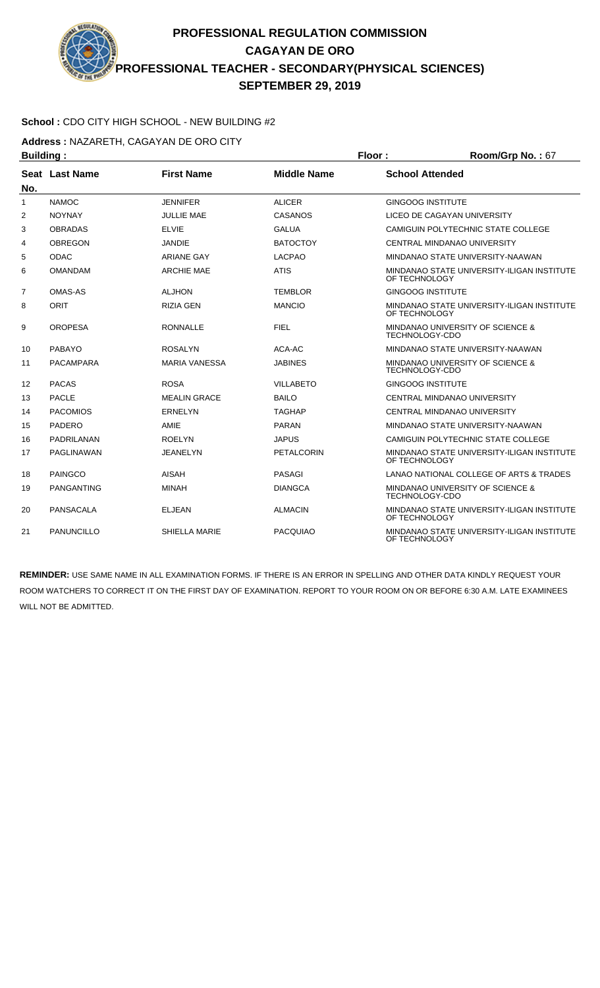

**Address :** NAZARETH, CAGAYAN DE ORO CITY

| <b>Building:</b> |                   |                      |                    | Floor:                                                      | Room/Grp No.: 67                           |
|------------------|-------------------|----------------------|--------------------|-------------------------------------------------------------|--------------------------------------------|
| No.              | Seat Last Name    | <b>First Name</b>    | <b>Middle Name</b> | <b>School Attended</b>                                      |                                            |
| 1                | <b>NAMOC</b>      | <b>JENNIFER</b>      | <b>ALICER</b>      | <b>GINGOOG INSTITUTE</b>                                    |                                            |
| 2                | <b>NOYNAY</b>     | <b>JULLIE MAE</b>    | CASANOS            |                                                             | LICEO DE CAGAYAN UNIVERSITY                |
| 3                | <b>OBRADAS</b>    | <b>ELVIE</b>         | <b>GALUA</b>       |                                                             | CAMIGUIN POLYTECHNIC STATE COLLEGE         |
| 4                | <b>OBREGON</b>    | <b>JANDIE</b>        | <b>BATOCTOY</b>    |                                                             | CENTRAL MINDANAO UNIVERSITY                |
| 5                | <b>ODAC</b>       | <b>ARIANE GAY</b>    | <b>LACPAO</b>      |                                                             | MINDANAO STATE UNIVERSITY-NAAWAN           |
| 6                | <b>OMANDAM</b>    | <b>ARCHIE MAE</b>    | <b>ATIS</b>        | OF TECHNOLOGY                                               | MINDANAO STATE UNIVERSITY-ILIGAN INSTITUTE |
| 7                | <b>OMAS-AS</b>    | <b>ALJHON</b>        | <b>TEMBLOR</b>     | <b>GINGOOG INSTITUTE</b>                                    |                                            |
| 8                | <b>ORIT</b>       | <b>RIZIA GEN</b>     | <b>MANCIO</b>      | MINDANAO STATE UNIVERSITY-ILIGAN INSTITUTE<br>OF TECHNOLOGY |                                            |
| 9                | <b>OROPESA</b>    | <b>RONNALLE</b>      | <b>FIEL</b>        | MINDANAO UNIVERSITY OF SCIENCE &<br><b>TECHNOLOGY-CDO</b>   |                                            |
| 10               | <b>PABAYO</b>     | <b>ROSALYN</b>       | ACA-AC             |                                                             | MINDANAO STATE UNIVERSITY-NAAWAN           |
| 11               | <b>PACAMPARA</b>  | <b>MARIA VANESSA</b> | <b>JABINES</b>     | <b>TECHNOLOGY-CDO</b>                                       | MINDANAO UNIVERSITY OF SCIENCE &           |
| 12               | <b>PACAS</b>      | <b>ROSA</b>          | <b>VILLABETO</b>   | <b>GINGOOG INSTITUTE</b>                                    |                                            |
| 13               | <b>PACLE</b>      | <b>MEALIN GRACE</b>  | <b>BAILO</b>       |                                                             | <b>CENTRAL MINDANAO UNIVERSITY</b>         |
| 14               | <b>PACOMIOS</b>   | <b>ERNELYN</b>       | <b>TAGHAP</b>      |                                                             | CENTRAL MINDANAO UNIVERSITY                |
| 15               | <b>PADERO</b>     | AMIE                 | <b>PARAN</b>       |                                                             | MINDANAO STATE UNIVERSITY-NAAWAN           |
| 16               | <b>PADRILANAN</b> | <b>ROELYN</b>        | <b>JAPUS</b>       |                                                             | CAMIGUIN POLYTECHNIC STATE COLLEGE         |
| 17               | <b>PAGLINAWAN</b> | <b>JEANELYN</b>      | <b>PETALCORIN</b>  | OF TECHNOLOGY                                               | MINDANAO STATE UNIVERSITY-ILIGAN INSTITUTE |
| 18               | <b>PAINGCO</b>    | <b>AISAH</b>         | <b>PASAGI</b>      |                                                             | LANAO NATIONAL COLLEGE OF ARTS & TRADES    |
| 19               | <b>PANGANTING</b> | <b>MINAH</b>         | <b>DIANGCA</b>     | <b>TECHNOLOGY-CDO</b>                                       | MINDANAO UNIVERSITY OF SCIENCE &           |
| 20               | <b>PANSACALA</b>  | <b>ELJEAN</b>        | <b>ALMACIN</b>     | OF TECHNOLOGY                                               | MINDANAO STATE UNIVERSITY-ILIGAN INSTITUTE |
| 21               | <b>PANUNCILLO</b> | <b>SHIELLA MARIE</b> | <b>PACQUIAO</b>    | OF TECHNOLOGY                                               | MINDANAO STATE UNIVERSITY-ILIGAN INSTITUTE |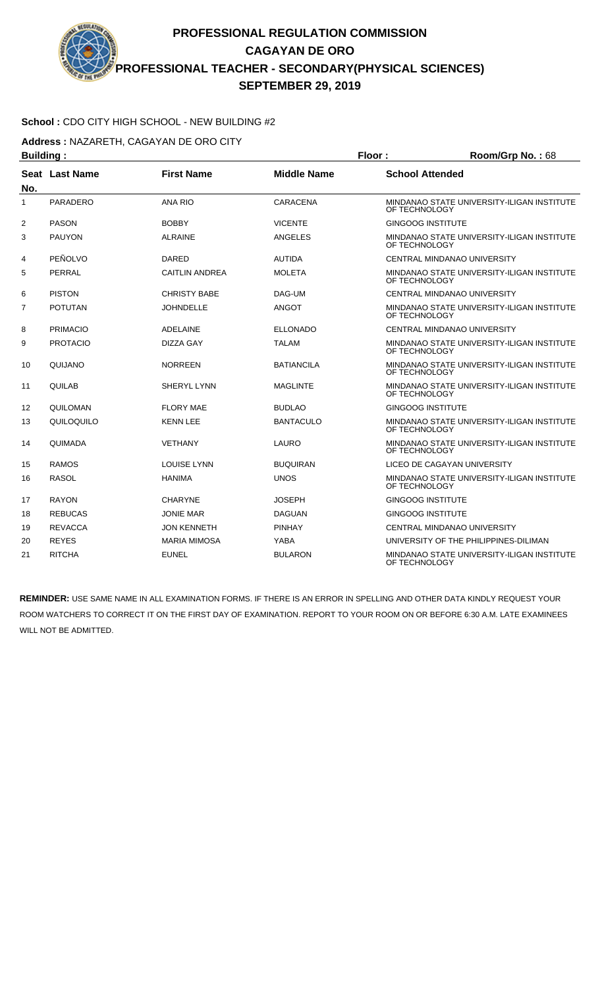## **School :** CDO CITY HIGH SCHOOL - NEW BUILDING #2

**Address :** NAZARETH, CAGAYAN DE ORO CITY

| <b>Building:</b> |                 | Floor:                |                    | Room/Grp No.: 68         |                                            |
|------------------|-----------------|-----------------------|--------------------|--------------------------|--------------------------------------------|
| No.              | Seat Last Name  | <b>First Name</b>     | <b>Middle Name</b> | <b>School Attended</b>   |                                            |
| $\mathbf{1}$     | <b>PARADERO</b> | <b>ANA RIO</b>        | <b>CARACENA</b>    | OF TECHNOLOGY            | MINDANAO STATE UNIVERSITY-ILIGAN INSTITUTE |
| 2                | <b>PASON</b>    | <b>BOBBY</b>          | <b>VICENTE</b>     | <b>GINGOOG INSTITUTE</b> |                                            |
| 3                | <b>PAUYON</b>   | <b>ALRAINE</b>        | ANGELES            | OF TECHNOLOGY            | MINDANAO STATE UNIVERSITY-ILIGAN INSTITUTE |
| 4                | PEÑOLVO         | <b>DARED</b>          | <b>AUTIDA</b>      |                          | CENTRAL MINDANAO UNIVERSITY                |
| 5                | PERRAL          | <b>CAITLIN ANDREA</b> | <b>MOLETA</b>      | OF TECHNOLOGY            | MINDANAO STATE UNIVERSITY-ILIGAN INSTITUTE |
| 6                | <b>PISTON</b>   | <b>CHRISTY BABE</b>   | DAG-UM             |                          | CENTRAL MINDANAO UNIVERSITY                |
| 7                | <b>POTUTAN</b>  | <b>JOHNDELLE</b>      | <b>ANGOT</b>       | OF TECHNOLOGY            | MINDANAO STATE UNIVERSITY-ILIGAN INSTITUTE |
| 8                | <b>PRIMACIO</b> | <b>ADELAINE</b>       | <b>ELLONADO</b>    |                          | CENTRAL MINDANAO UNIVERSITY                |
| 9                | <b>PROTACIO</b> | DIZZA GAY             | <b>TALAM</b>       | OF TECHNOLOGY            | MINDANAO STATE UNIVERSITY-ILIGAN INSTITUTE |
| 10               | QUIJANO         | <b>NORREEN</b>        | <b>BATIANCILA</b>  | OF TECHNOLOGY            | MINDANAO STATE UNIVERSITY-ILIGAN INSTITUTE |
| 11               | QUILAB          | <b>SHERYL LYNN</b>    | <b>MAGLINTE</b>    | OF TECHNOLOGY            | MINDANAO STATE UNIVERSITY-ILIGAN INSTITUTE |
| 12               | QUILOMAN        | <b>FLORY MAE</b>      | <b>BUDLAO</b>      | <b>GINGOOG INSTITUTE</b> |                                            |
| 13               | QUILOQUILO      | <b>KENN LEE</b>       | <b>BANTACULO</b>   | OF TECHNOLOGY            | MINDANAO STATE UNIVERSITY-ILIGAN INSTITUTE |
| 14               | QUIMADA         | <b>VETHANY</b>        | LAURO              | OF TECHNOLOGY            | MINDANAO STATE UNIVERSITY-ILIGAN INSTITUTE |
| 15               | <b>RAMOS</b>    | <b>LOUISE LYNN</b>    | <b>BUQUIRAN</b>    |                          | LICEO DE CAGAYAN UNIVERSITY                |
| 16               | <b>RASOL</b>    | <b>HANIMA</b>         | <b>UNOS</b>        | OF TECHNOLOGY            | MINDANAO STATE UNIVERSITY-ILIGAN INSTITUTE |
| 17               | <b>RAYON</b>    | <b>CHARYNE</b>        | <b>JOSEPH</b>      | <b>GINGOOG INSTITUTE</b> |                                            |
| 18               | <b>REBUCAS</b>  | JONIE MAR             | <b>DAGUAN</b>      | <b>GINGOOG INSTITUTE</b> |                                            |
| 19               | <b>REVACCA</b>  | <b>JON KENNETH</b>    | <b>PINHAY</b>      |                          | CENTRAL MINDANAO UNIVERSITY                |
| 20               | <b>REYES</b>    | <b>MARIA MIMOSA</b>   | YABA               |                          | UNIVERSITY OF THE PHILIPPINES-DILIMAN      |
| 21               | <b>RITCHA</b>   | <b>EUNEL</b>          | <b>BULARON</b>     | OF TECHNOLOGY            | MINDANAO STATE UNIVERSITY-ILIGAN INSTITUTE |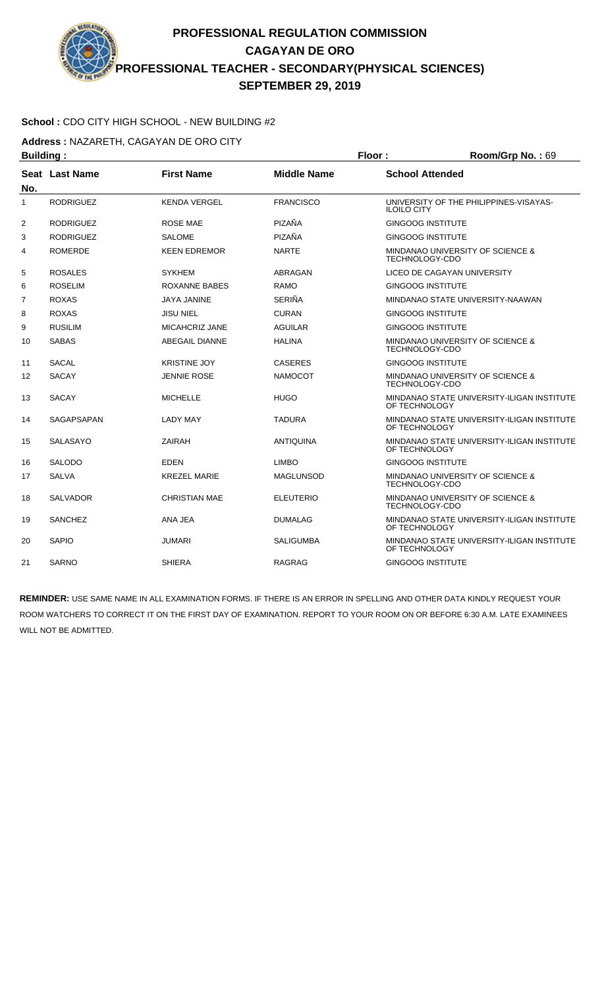

**Address :** NAZARETH, CAGAYAN DE ORO CITY

| <b>Building:</b> |                  |                       | Floor:             | Room/Grp No.: 69                                            |                                            |
|------------------|------------------|-----------------------|--------------------|-------------------------------------------------------------|--------------------------------------------|
| No.              | Seat Last Name   | <b>First Name</b>     | <b>Middle Name</b> | <b>School Attended</b>                                      |                                            |
| $\mathbf{1}$     | <b>RODRIGUEZ</b> | <b>KENDA VERGEL</b>   | <b>FRANCISCO</b>   | <b>ILOILO CITY</b>                                          | UNIVERSITY OF THE PHILIPPINES-VISAYAS-     |
| 2                | <b>RODRIGUEZ</b> | ROSE MAE              | PIZAÑA             | <b>GINGOOG INSTITUTE</b>                                    |                                            |
| 3                | <b>RODRIGUEZ</b> | SALOME                | PIZAÑA             | <b>GINGOOG INSTITUTE</b>                                    |                                            |
| 4                | <b>ROMERDE</b>   | <b>KEEN EDREMOR</b>   | <b>NARTE</b>       | TECHNOLOGY-CDO                                              | MINDANAO UNIVERSITY OF SCIENCE &           |
| 5                | <b>ROSALES</b>   | <b>SYKHEM</b>         | ABRAGAN            |                                                             | LICEO DE CAGAYAN UNIVERSITY                |
| 6                | <b>ROSELIM</b>   | ROXANNE BABES         | <b>RAMO</b>        | <b>GINGOOG INSTITUTE</b>                                    |                                            |
| 7                | <b>ROXAS</b>     | <b>JAYA JANINE</b>    | <b>SERIÑA</b>      |                                                             | MINDANAO STATE UNIVERSITY-NAAWAN           |
| 8                | <b>ROXAS</b>     | <b>JISU NIEL</b>      | <b>CURAN</b>       | <b>GINGOOG INSTITUTE</b>                                    |                                            |
| 9                | <b>RUSILIM</b>   | <b>MICAHCRIZ JANE</b> | <b>AGUILAR</b>     | <b>GINGOOG INSTITUTE</b>                                    |                                            |
| 10               | <b>SABAS</b>     | <b>ABEGAIL DIANNE</b> | <b>HALINA</b>      | <b>TECHNOLOGY-CDO</b>                                       | MINDANAO UNIVERSITY OF SCIENCE &           |
| 11               | <b>SACAL</b>     | <b>KRISTINE JOY</b>   | <b>CASERES</b>     | <b>GINGOOG INSTITUTE</b>                                    |                                            |
| 12               | <b>SACAY</b>     | <b>JENNIE ROSE</b>    | <b>NAMOCOT</b>     | TECHNOLOGY-CDO                                              | MINDANAO UNIVERSITY OF SCIENCE &           |
| 13               | <b>SACAY</b>     | <b>MICHELLE</b>       | <b>HUGO</b>        | OF TECHNOLOGY                                               | MINDANAO STATE UNIVERSITY-ILIGAN INSTITUTE |
| 14               | SAGAPSAPAN       | <b>LADY MAY</b>       | <b>TADURA</b>      | OF TECHNOLOGY                                               | MINDANAO STATE UNIVERSITY-ILIGAN INSTITUTE |
| 15               | <b>SALASAYO</b>  | <b>ZAIRAH</b>         | <b>ANTIQUINA</b>   | OF TECHNOLOGY                                               | MINDANAO STATE UNIVERSITY-ILIGAN INSTITUTE |
| 16               | <b>SALODO</b>    | <b>EDEN</b>           | <b>LIMBO</b>       | <b>GINGOOG INSTITUTE</b>                                    |                                            |
| 17               | <b>SALVA</b>     | <b>KREZEL MARIE</b>   | <b>MAGLUNSOD</b>   | TECHNOLOGY-CDO                                              | MINDANAO UNIVERSITY OF SCIENCE &           |
| 18               | <b>SALVADOR</b>  | <b>CHRISTIAN MAE</b>  | <b>ELEUTERIO</b>   | TECHNOLOGY-CDO                                              | MINDANAO UNIVERSITY OF SCIENCE &           |
| 19               | <b>SANCHEZ</b>   | ANA JEA               | <b>DUMALAG</b>     | OF TECHNOLOGY                                               | MINDANAO STATE UNIVERSITY-ILIGAN INSTITUTE |
| 20               | <b>SAPIO</b>     | <b>JUMARI</b>         | <b>SALIGUMBA</b>   | MINDANAO STATE UNIVERSITY-ILIGAN INSTITUTE<br>OF TECHNOLOGY |                                            |
| 21               | <b>SARNO</b>     | <b>SHIERA</b>         | <b>RAGRAG</b>      | <b>GINGOOG INSTITUTE</b>                                    |                                            |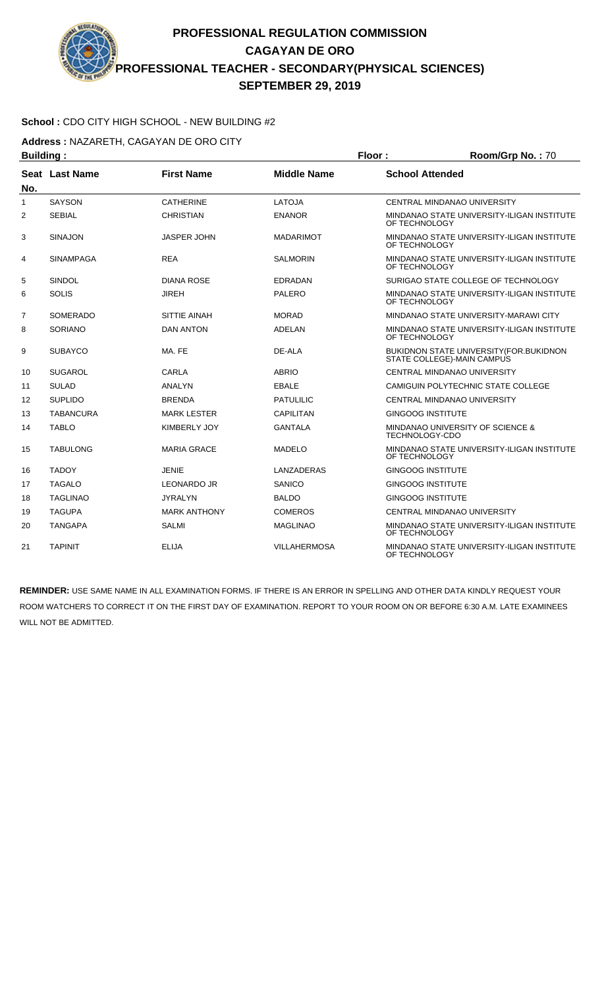## **School :** CDO CITY HIGH SCHOOL - NEW BUILDING #2

**Address :** NAZARETH, CAGAYAN DE ORO CITY

| <b>Building:</b> |                  |                     |                     | Floor:                   | Room/Grp No.: 70                                                       |
|------------------|------------------|---------------------|---------------------|--------------------------|------------------------------------------------------------------------|
| No.              | Seat Last Name   | <b>First Name</b>   | <b>Middle Name</b>  | <b>School Attended</b>   |                                                                        |
| 1                | <b>SAYSON</b>    | <b>CATHERINE</b>    | LATOJA              |                          | CENTRAL MINDANAO UNIVERSITY                                            |
| 2                | <b>SEBIAL</b>    | <b>CHRISTIAN</b>    | <b>ENANOR</b>       | OF TECHNOLOGY            | MINDANAO STATE UNIVERSITY-ILIGAN INSTITUTE                             |
| 3                | <b>SINAJON</b>   | <b>JASPER JOHN</b>  | <b>MADARIMOT</b>    | OF TECHNOLOGY            | MINDANAO STATE UNIVERSITY-ILIGAN INSTITUTE                             |
| 4                | <b>SINAMPAGA</b> | <b>REA</b>          | <b>SALMORIN</b>     | OF TECHNOLOGY            | MINDANAO STATE UNIVERSITY-ILIGAN INSTITUTE                             |
| 5                | SINDOL           | <b>DIANA ROSE</b>   | <b>EDRADAN</b>      |                          | SURIGAO STATE COLLEGE OF TECHNOLOGY                                    |
| 6                | <b>SOLIS</b>     | JIREH               | <b>PALERO</b>       | OF TECHNOLOGY            | MINDANAO STATE UNIVERSITY-ILIGAN INSTITUTE                             |
| 7                | <b>SOMERADO</b>  | <b>SITTIE AINAH</b> | <b>MORAD</b>        |                          | MINDANAO STATE UNIVERSITY-MARAWI CITY                                  |
| 8                | <b>SORIANO</b>   | <b>DAN ANTON</b>    | ADELAN              | OF TECHNOLOGY            | MINDANAO STATE UNIVERSITY-ILIGAN INSTITUTE                             |
| 9                | <b>SUBAYCO</b>   | MA, FE              | DE-ALA              |                          | BUKIDNON STATE UNIVERSITY (FOR. BUKIDNON<br>STATE COLLEGE)-MAIN CAMPUS |
| 10               | <b>SUGAROL</b>   | <b>CARLA</b>        | <b>ABRIO</b>        |                          | <b>CENTRAL MINDANAO UNIVERSITY</b>                                     |
| 11               | <b>SULAD</b>     | ANALYN              | <b>EBALE</b>        |                          | CAMIGUIN POLYTECHNIC STATE COLLEGE                                     |
| 12               | <b>SUPLIDO</b>   | <b>BRENDA</b>       | <b>PATULILIC</b>    |                          | CENTRAL MINDANAO UNIVERSITY                                            |
| 13               | <b>TABANCURA</b> | <b>MARK LESTER</b>  | <b>CAPILITAN</b>    | <b>GINGOOG INSTITUTE</b> |                                                                        |
| 14               | <b>TABLO</b>     | <b>KIMBERLY JOY</b> | <b>GANTALA</b>      | TECHNOLOGY-CDO           | MINDANAO UNIVERSITY OF SCIENCE &                                       |
| 15               | <b>TABULONG</b>  | <b>MARIA GRACE</b>  | <b>MADELO</b>       | OF TECHNOLOGY            | MINDANAO STATE UNIVERSITY-ILIGAN INSTITUTE                             |
| 16               | <b>TADOY</b>     | <b>JENIE</b>        | LANZADERAS          | <b>GINGOOG INSTITUTE</b> |                                                                        |
| 17               | <b>TAGALO</b>    | <b>LEONARDO JR</b>  | <b>SANICO</b>       | <b>GINGOOG INSTITUTE</b> |                                                                        |
| 18               | <b>TAGLINAO</b>  | <b>JYRALYN</b>      | <b>BALDO</b>        | <b>GINGOOG INSTITUTE</b> |                                                                        |
| 19               | <b>TAGUPA</b>    | <b>MARK ANTHONY</b> | <b>COMEROS</b>      |                          | CENTRAL MINDANAO UNIVERSITY                                            |
| 20               | <b>TANGAPA</b>   | <b>SALMI</b>        | <b>MAGLINAO</b>     | OF TECHNOLOGY            | MINDANAO STATE UNIVERSITY-ILIGAN INSTITUTE                             |
| 21               | <b>TAPINIT</b>   | <b>ELIJA</b>        | <b>VILLAHERMOSA</b> | OF TECHNOLOGY            | MINDANAO STATE UNIVERSITY-ILIGAN INSTITUTE                             |